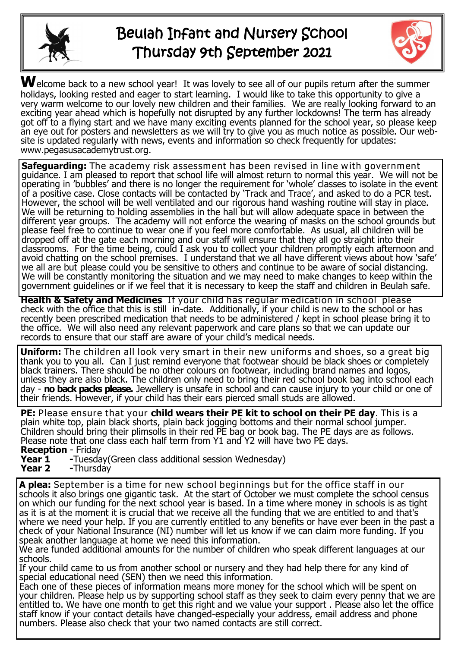

# Beulah Infant and Nursery School Thursday 9th September 2021



Welcome back to a new school year! It was lovely to see all of our pupils return after the summer holidays, looking rested and eager to start learning. I would like to take this opportunity to give a very warm welcome to our lovely new children and their families. We are really looking forward to an exciting year ahead which is hopefully not disrupted by any further lockdowns! The term has already got off to a flying start and we have many exciting events planned for the school year, so please keep an eye out for posters and newsletters as we will try to give you as much notice as possible. Our website is updated regularly with news, events and information so check frequently for updates: www.pegasusacademytrust.org.

**Safeguarding:** The academy risk assessment has been revised in line with government guidance. I am pleased to report that school life will almost return to normal this year. We will not be operating in 'bubbles' and there is no longer the requirement for 'whole' classes to isolate in the event of a positive case. Close contacts will be contacted by 'Track and Trace', and asked to do a PCR test. However, the school will be well ventilated and our rigorous hand washing routine will stay in place. We will be returning to holding assemblies in the hall but will allow adequate space in between the different year groups. The academy will not enforce the wearing of masks on the school grounds but please feel free to continue to wear one if you feel more comfortable. As usual, all children will be dropped off at the gate each morning and our staff will ensure that they all go straight into their classrooms. For the time being, could I ask you to collect your children promptly each afternoon and avoid chatting on the school premises. I understand that we all have different views about how 'safe' we all are but please could you be sensitive to others and continue to be aware of social distancing. We will be constantly monitoring the situation and we may need to make changes to keep within the government guidelines or if we feel that it is necessary to keep the staff and children in Beulah safe.

**Health & Safety and Medicines** If your child has regular medication in school please check with the office that this is still in-date. Additionally, if your child is new to the school or has recently been prescribed medication that needs to be administered / kept in school please bring it to the office. We will also need any relevant paperwork and care plans so that we can update our records to ensure that our staff are aware of your child's medical needs.

**Uniform:** The children all look very smart in their new uniforms and shoes, so a great big thank you to you all. Can I just remind everyone that footwear should be black shoes or completely black trainers. There should be no other colours on footwear, including brand names and logos, unless they are also black. The children only need to bring their red school book bag into school each day - **no back packs please.** Jewellery is unsafe in school and can cause injury to your child or one of their friends. However, if your child has their ears pierced small studs are allowed.

**PE:** Please ensure that your **child wears their PE kit to school on their PE day**. This is a plain white top, plain black shorts, plain back jogging bottoms and their normal school jumper. Children should bring their plimsolls in their red PE bag or book bag. The PE days are as follows. Please note that one class each half term from Y1 and Y2 will have two PE days. **Reception** - Friday

- **Year 1 -**Tuesday(Green class additional session Wednesday) **Year 2** -Thursday
- **Year 2 -**Thursday

**A plea:** September is a time for new school beginnings but for the office staff in our schools it also brings one gigantic task. At the start of October we must complete the school census on which our funding for the next school year is based. In a time where money in schools is as tight as it is at the moment it is crucial that we receive all the funding that we are entitled to and that's where we need your help. If you are currently entitled to any benefits or have ever been in the past a check of your National Insurance (NI) number will let us know if we can claim more funding. If you speak another language at home we need this information.

We are funded additional amounts for the number of children who speak different languages at our schools.

If your child came to us from another school or nursery and they had help there for any kind of special educational need (SEN) then we need this information.

Each one of these pieces of information means more money for the school which will be spent on your children. Please help us by supporting school staff as they seek to claim every penny that we are entitled to. We have one month to get this right and we value your support . Please also let the office staff know if your contact details have changed-especially your address, email address and phone numbers. Please also check that your two named contacts are still correct.